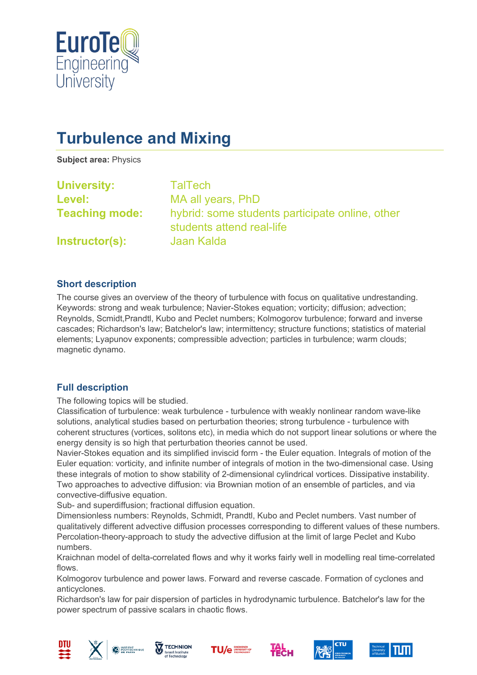

# **Turbulence and Mixing**

**Subject area:** Physics

| <b>University:</b>    | <b>TalTech</b>                                                               |
|-----------------------|------------------------------------------------------------------------------|
| Level:                | MA all years, PhD                                                            |
| <b>Teaching mode:</b> | hybrid: some students participate online, other<br>students attend real-life |
| Instructor(s):        | Jaan Kalda                                                                   |

### **Short description**

The course gives an overview of the theory of turbulence with focus on qualitative undrestanding. Keywords: strong and weak turbulence; Navier-Stokes equation; vorticity; diffusion; advection; Reynolds, Scmidt,Prandtl, Kubo and Peclet numbers; Kolmogorov turbulence; forward and inverse cascades; Richardson's law; Batchelor's law; intermittency; structure functions; statistics of material elements; Lyapunov exponents; compressible advection; particles in turbulence; warm clouds; magnetic dynamo.

## **Full description**

The following topics will be studied.

Classification of turbulence: weak turbulence - turbulence with weakly nonlinear random wave-like solutions, analytical studies based on perturbation theories; strong turbulence - turbulence with coherent structures (vortices, solitons etc), in media which do not support linear solutions or where the energy density is so high that perturbation theories cannot be used.

Navier-Stokes equation and its simplified inviscid form - the Euler equation. Integrals of motion of the Euler equation: vorticity, and infinite number of integrals of motion in the two-dimensional case. Using these integrals of motion to show stability of 2-dimensional cylindrical vortices. Dissipative instability. Two approaches to advective diffusion: via Brownian motion of an ensemble of particles, and via convective-diffusive equation.

Sub- and superdiffusion; fractional diffusion equation.

Dimensionless numbers: Reynolds, Schmidt, Prandtl, Kubo and Peclet numbers. Vast number of qualitatively different advective diffusion processes corresponding to different values of these numbers. Percolation-theory-approach to study the advective diffusion at the limit of large Peclet and Kubo numbers.

Kraichnan model of delta-correlated flows and why it works fairly well in modelling real time-correlated flows.

Kolmogorov turbulence and power laws. Forward and reverse cascade. Formation of cyclones and anticyclones.

Richardson's law for pair dispersion of particles in hydrodynamic turbulence. Batchelor's law for the power spectrum of passive scalars in chaotic flows.











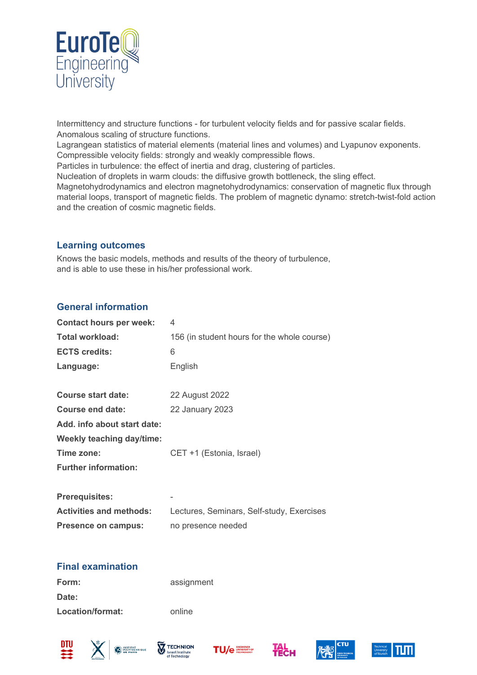

Intermittency and structure functions - for turbulent velocity fields and for passive scalar fields. Anomalous scaling of structure functions.

Lagrangean statistics of material elements (material lines and volumes) and Lyapunov exponents. Compressible velocity fields: strongly and weakly compressible flows.

Particles in turbulence: the effect of inertia and drag, clustering of particles.

Nucleation of droplets in warm clouds: the diffusive growth bottleneck, the sling effect.

Magnetohydrodynamics and electron magnetohydrodynamics: conservation of magnetic flux through material loops, transport of magnetic fields. The problem of magnetic dynamo: stretch-twist-fold action and the creation of cosmic magnetic fields.

#### **Learning outcomes**

Knows the basic models, methods and results of the theory of turbulence, and is able to use these in his/her professional work.

### **General information**

| <b>Contact hours per week:</b>   | 4                                           |
|----------------------------------|---------------------------------------------|
| Total workload:                  | 156 (in student hours for the whole course) |
| <b>ECTS credits:</b>             | 6                                           |
| Language:                        | English                                     |
|                                  |                                             |
| Course start date:               | 22 August 2022                              |
| Course end date:                 | 22 January 2023                             |
| Add. info about start date:      |                                             |
| <b>Weekly teaching day/time:</b> |                                             |
| Time zone:                       | CET +1 (Estonia, Israel)                    |
| <b>Further information:</b>      |                                             |
|                                  |                                             |
| <b>Prerequisites:</b>            | -                                           |
| <b>Activities and methods:</b>   | Lectures, Seminars, Self-study, Exercises   |
| Presence on campus:              | no presence needed                          |
|                                  |                                             |

## **Final examination**

| Form:            | assignment |
|------------------|------------|
| Date:            |            |
| Location/format: | online     |